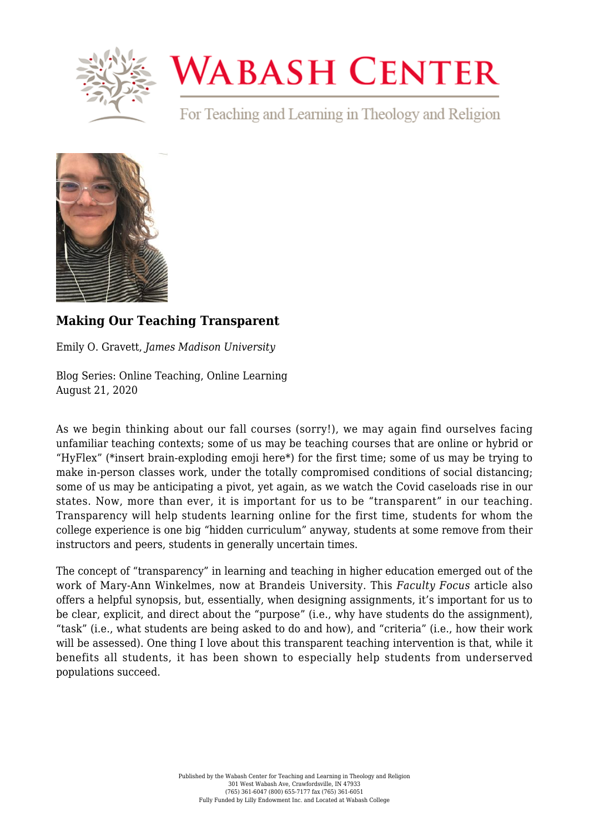

## **WABASH CENTER**

For Teaching and Learning in Theology and Religion



## **[Making Our Teaching Transparent](https://www.wabashcenter.wabash.edu/2020/08/making-our-teaching-transparent/)**

Emily O. Gravett, *James Madison University*

Blog Series: Online Teaching, Online Learning August 21, 2020

As we begin thinking about our fall courses (sorry!), we may again find ourselves facing unfamiliar teaching contexts; some of us may be teaching courses that are online or hybrid or ["HyFlex"](https://library.educause.edu/-/media/files/library/2010/11/eli7066-pdf.pdf) (\*insert brain-exploding emoji here\*) for the first time; some of us may be trying to make in-person classes work, under the totally compromised conditions of social distancing; some of us may be anticipating a pivot, yet again, as we watch the Covid caseloads rise in our states. Now, more than ever, it is important for us to be "transparent" in our teaching. Transparency will help students learning online for the first time, students for whom the college experience is one big ["hidden curriculum"](https://www.insidehighered.com/news/2014/08/04/book-argues-mentoring-programs-should-try-unveil-colleges-hidden-curriculum) anyway, students at some remove from their instructors and peers, students in generally uncertain times.

The concept of ["transparency" in learning and teaching in higher education](https://www.tilthighered.com/) emerged out of the work of Mary-Ann Winkelmes, now at Brandeis University. This *[Faculty Focus](https://www.facultyfocus.com/articles/course-design-ideas/a-renewed-case-for-student-success-using-transparency-in-assignment-design-when-teaching-remotely/)* [article](https://www.facultyfocus.com/articles/course-design-ideas/a-renewed-case-for-student-success-using-transparency-in-assignment-design-when-teaching-remotely/) also offers a helpful synopsis, but, essentially, when designing assignments, it's important for us to be clear, explicit, and direct about the "purpose" (i.e., why have students do the assignment), "task" (i.e., what students are being asked to do and how), and "criteria" (i.e., how their work will be assessed). One thing I love about this [transparent teaching intervention](https://www.aacu.org/peerreview/2016/winter-spring/Winkelmes) is that, while it benefits all students, it has been shown to especially help students from underserved populations succeed.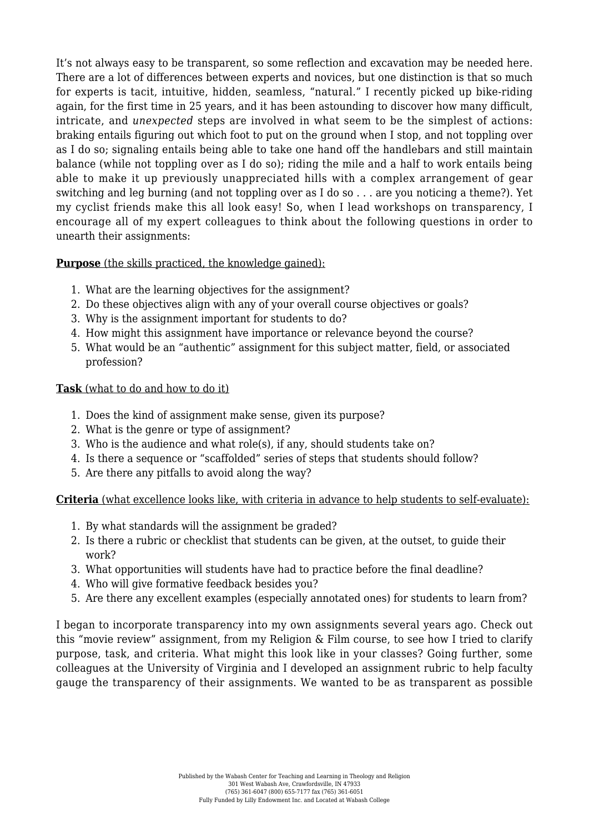It's not always easy to be transparent, so some reflection and excavation may be needed here. There are a lot of [differences between experts and novices,](https://www.nap.edu/read/9853/chapter/5) but one distinction is that so much for experts is tacit, intuitive, hidden, seamless, "natural." I recently picked up bike-riding again, for the first time in 25 years, and it has been astounding to discover how many difficult, intricate, and *unexpected* steps are involved in what seem to be the simplest of actions: braking entails figuring out which foot to put on the ground when I stop, and not toppling over as I do so; signaling entails being able to take one hand off the handlebars and still maintain balance (while not toppling over as I do so); riding the mile and a half to work entails being able to make it up previously unappreciated hills with a complex arrangement of gear switching and leg burning (and not toppling over as I do so . . . are you noticing a theme?). Yet my cyclist friends make this all look easy! So, when I lead workshops on transparency, I encourage all of my expert colleagues to think about the following questions in order to unearth their assignments:

**Purpose** (the skills practiced, the knowledge gained):

- 1. What are the learning objectives for the assignment?
- 2. Do these objectives align with any of your overall course objectives or goals?
- 3. Why is the assignment important for students to do?
- 4. How might this assignment have importance or relevance beyond the course?
- 5. What would be an "authentic" assignment for this subject matter, field, or associated profession?

## **Task** (what to do and how to do it)

- 1. Does the kind of assignment make sense, given its purpose?
- 2. What is the genre or type of assignment?
- 3. Who is the audience and what role(s), if any, should students take on?
- 4. Is there a sequence or "scaffolded" series of steps that students should follow?
- 5. Are there any pitfalls to avoid along the way?

## **Criteria** (what excellence looks like, with criteria in advance to help students to self-evaluate):

- 1. By what standards will the assignment be graded?
- 2. Is there a rubric or checklist that students can be given, at the outset, to guide their work?
- 3. What opportunities will students have had to practice before the final deadline?
- 4. Who will give formative feedback besides you?
- 5. Are there any excellent examples (especially annotated ones) for students to learn from?

I began to incorporate transparency into my own assignments several years ago. Check out this ["movie review" assignment,](https://www.wabashcenter.wabash.edu/wp-content/uploads/2020/08/GravettAssignmentPROOF-for-blog-Making-our-Teaching-Transparent-Fall-2018-Movie-Review.pdf) from my Religion & Film course, to see how I tried to clarify purpose, task, and criteria. What might this look like in your classes? Going further, some colleagues at the University of Virginia and I developed [an assignment rubric](https://onlinelibrary.wiley.com/doi/abs/10.1002/tia2.20083) to help faculty gauge the transparency of their assignments. We wanted to be as transparent as possible